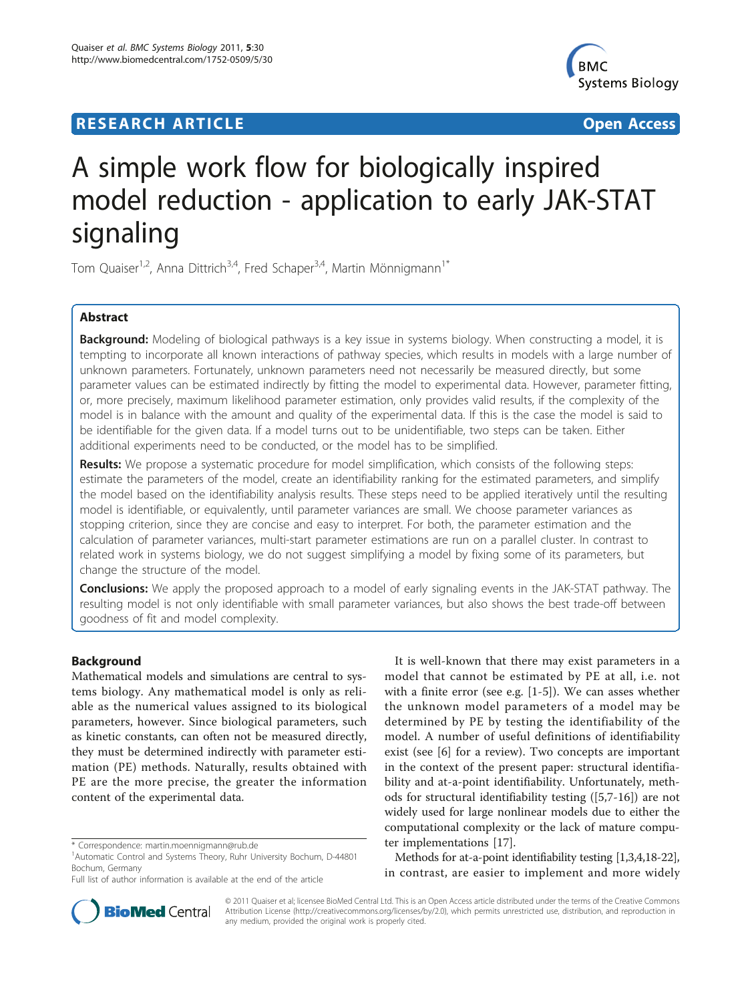## **RESEARCH ARTICLE Example 2014 CONSUMING A CONSUMING A CONSUMING A CONSUMING A CONSUMING A CONSUMING A CONSUMING A CONSUMING A CONSUMING A CONSUMING A CONSUMING A CONSUMING A CONSUMING A CONSUMING A CONSUMING A CONSUMI**



# A simple work flow for biologically inspired model reduction - application to early JAK-STAT signaling

Tom Quaiser<sup>1,2</sup>, Anna Dittrich<sup>3,4</sup>, Fred Schaper<sup>3,4</sup>, Martin Mönnigmann<sup>1\*</sup>

## Abstract

Background: Modeling of biological pathways is a key issue in systems biology. When constructing a model, it is tempting to incorporate all known interactions of pathway species, which results in models with a large number of unknown parameters. Fortunately, unknown parameters need not necessarily be measured directly, but some parameter values can be estimated indirectly by fitting the model to experimental data. However, parameter fitting, or, more precisely, maximum likelihood parameter estimation, only provides valid results, if the complexity of the model is in balance with the amount and quality of the experimental data. If this is the case the model is said to be identifiable for the given data. If a model turns out to be unidentifiable, two steps can be taken. Either additional experiments need to be conducted, or the model has to be simplified.

Results: We propose a systematic procedure for model simplification, which consists of the following steps: estimate the parameters of the model, create an identifiability ranking for the estimated parameters, and simplify the model based on the identifiability analysis results. These steps need to be applied iteratively until the resulting model is identifiable, or equivalently, until parameter variances are small. We choose parameter variances as stopping criterion, since they are concise and easy to interpret. For both, the parameter estimation and the calculation of parameter variances, multi-start parameter estimations are run on a parallel cluster. In contrast to related work in systems biology, we do not suggest simplifying a model by fixing some of its parameters, but change the structure of the model.

**Conclusions:** We apply the proposed approach to a model of early signaling events in the JAK-STAT pathway. The resulting model is not only identifiable with small parameter variances, but also shows the best trade-off between goodness of fit and model complexity.

## Background

Mathematical models and simulations are central to systems biology. Any mathematical model is only as reliable as the numerical values assigned to its biological parameters, however. Since biological parameters, such as kinetic constants, can often not be measured directly, they must be determined indirectly with parameter estimation (PE) methods. Naturally, results obtained with PE are the more precise, the greater the information content of the experimental data.

It is well-known that there may exist parameters in a model that cannot be estimated by PE at all, i.e. not with a finite error (see e.g. [\[1](#page-12-0)-[5\]](#page-12-0)). We can asses whether the unknown model parameters of a model may be determined by PE by testing the identifiability of the model. A number of useful definitions of identifiability exist (see [[6\]](#page-12-0) for a review). Two concepts are important in the context of the present paper: structural identifiability and at-a-point identifiability. Unfortunately, methods for structural identifiability testing ([[5,7-16](#page-12-0)]) are not widely used for large nonlinear models due to either the computational complexity or the lack of mature computer implementations [[17](#page-12-0)].

Methods for at-a-point identifiability testing [\[1,3,4,18-22](#page-12-0)], in contrast, are easier to implement and more widely



© 2011 Quaiser et al; licensee BioMed Central Ltd. This is an Open Access article distributed under the terms of the Creative Commons Attribution License [\(http://creativecommons.org/licenses/by/2.0](http://creativecommons.org/licenses/by/2.0)), which permits unrestricted use, distribution, and reproduction in any medium, provided the original work is properly cited.

<sup>\*</sup> Correspondence: [martin.moennigmann@rub.de](mailto:martin.moennigmann@rub.de)

<sup>&</sup>lt;sup>1</sup> Automatic Control and Systems Theory, Ruhr University Bochum, D-44801 Bochum, Germany

Full list of author information is available at the end of the article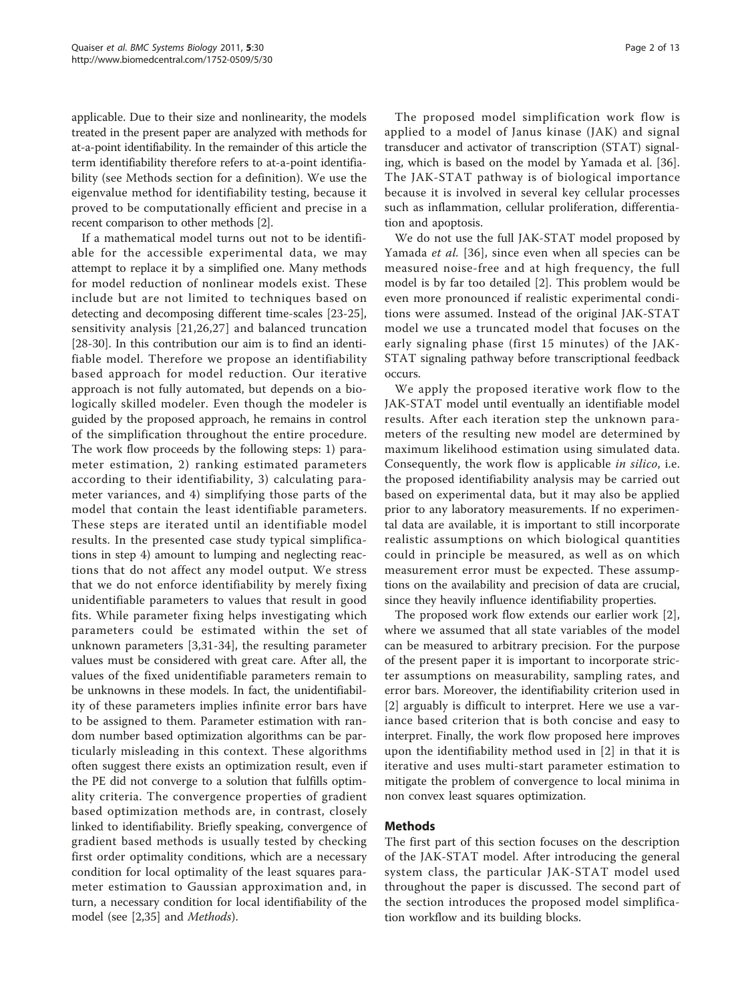applicable. Due to their size and nonlinearity, the models treated in the present paper are analyzed with methods for at-a-point identifiability. In the remainder of this article the term identifiability therefore refers to at-a-point identifiability (see Methods section for a definition). We use the eigenvalue method for identifiability testing, because it proved to be computationally efficient and precise in a recent comparison to other methods [[2](#page-12-0)].

If a mathematical model turns out not to be identifiable for the accessible experimental data, we may attempt to replace it by a simplified one. Many methods for model reduction of nonlinear models exist. These include but are not limited to techniques based on detecting and decomposing different time-scales [\[23-25](#page-12-0)], sensitivity analysis [[21](#page-12-0),[26,27\]](#page-12-0) and balanced truncation [[28-30\]](#page-12-0). In this contribution our aim is to find an identifiable model. Therefore we propose an identifiability based approach for model reduction. Our iterative approach is not fully automated, but depends on a biologically skilled modeler. Even though the modeler is guided by the proposed approach, he remains in control of the simplification throughout the entire procedure. The work flow proceeds by the following steps: 1) parameter estimation, 2) ranking estimated parameters according to their identifiability, 3) calculating parameter variances, and 4) simplifying those parts of the model that contain the least identifiable parameters. These steps are iterated until an identifiable model results. In the presented case study typical simplifications in step 4) amount to lumping and neglecting reactions that do not affect any model output. We stress that we do not enforce identifiability by merely fixing unidentifiable parameters to values that result in good fits. While parameter fixing helps investigating which parameters could be estimated within the set of unknown parameters [[3,31](#page-12-0)-[34\]](#page-12-0), the resulting parameter values must be considered with great care. After all, the values of the fixed unidentifiable parameters remain to be unknowns in these models. In fact, the unidentifiability of these parameters implies infinite error bars have to be assigned to them. Parameter estimation with random number based optimization algorithms can be particularly misleading in this context. These algorithms often suggest there exists an optimization result, even if the PE did not converge to a solution that fulfills optimality criteria. The convergence properties of gradient based optimization methods are, in contrast, closely linked to identifiability. Briefly speaking, convergence of gradient based methods is usually tested by checking first order optimality conditions, which are a necessary condition for local optimality of the least squares parameter estimation to Gaussian approximation and, in turn, a necessary condition for local identifiability of the model (see [\[2,35](#page-12-0)] and Methods).

The proposed model simplification work flow is applied to a model of Janus kinase (JAK) and signal transducer and activator of transcription (STAT) signaling, which is based on the model by Yamada et al. [\[36](#page-12-0)]. The JAK-STAT pathway is of biological importance because it is involved in several key cellular processes such as inflammation, cellular proliferation, differentiation and apoptosis.

We do not use the full JAK-STAT model proposed by Yamada et al. [[36\]](#page-12-0), since even when all species can be measured noise-free and at high frequency, the full model is by far too detailed [[2\]](#page-12-0). This problem would be even more pronounced if realistic experimental conditions were assumed. Instead of the original JAK-STAT model we use a truncated model that focuses on the early signaling phase (first 15 minutes) of the JAK-STAT signaling pathway before transcriptional feedback occurs.

We apply the proposed iterative work flow to the JAK-STAT model until eventually an identifiable model results. After each iteration step the unknown parameters of the resulting new model are determined by maximum likelihood estimation using simulated data. Consequently, the work flow is applicable in silico, i.e. the proposed identifiability analysis may be carried out based on experimental data, but it may also be applied prior to any laboratory measurements. If no experimental data are available, it is important to still incorporate realistic assumptions on which biological quantities could in principle be measured, as well as on which measurement error must be expected. These assumptions on the availability and precision of data are crucial, since they heavily influence identifiability properties.

The proposed work flow extends our earlier work [\[2](#page-12-0)], where we assumed that all state variables of the model can be measured to arbitrary precision. For the purpose of the present paper it is important to incorporate stricter assumptions on measurability, sampling rates, and error bars. Moreover, the identifiability criterion used in [[2](#page-12-0)] arguably is difficult to interpret. Here we use a variance based criterion that is both concise and easy to interpret. Finally, the work flow proposed here improves upon the identifiability method used in [[2](#page-12-0)] in that it is iterative and uses multi-start parameter estimation to mitigate the problem of convergence to local minima in non convex least squares optimization.

## Methods

The first part of this section focuses on the description of the JAK-STAT model. After introducing the general system class, the particular JAK-STAT model used throughout the paper is discussed. The second part of the section introduces the proposed model simplification workflow and its building blocks.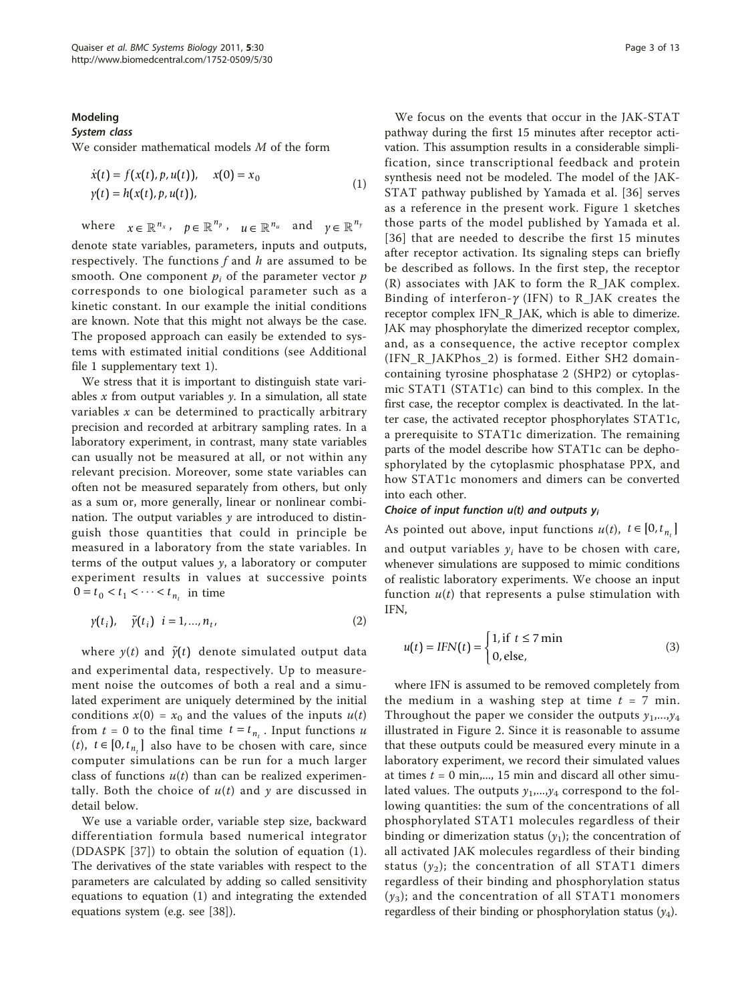#### Modeling

#### System class

We consider mathematical models M of the form

$$
\dot{x}(t) = f(x(t), p, u(t)), \quad x(0) = x_0 \n y(t) = h(x(t), p, u(t)),
$$
\n(1)

where  $x \in \mathbb{R}^{n_x}$ ,  $p \in \mathbb{R}^{n_p}$ ,  $u \in \mathbb{R}^{n_u}$  and  $y \in \mathbb{R}^{n_y}$ 

denote state variables, parameters, inputs and outputs, respectively. The functions  $f$  and  $h$  are assumed to be smooth. One component  $p_i$  of the parameter vector  $p$ corresponds to one biological parameter such as a kinetic constant. In our example the initial conditions are known. Note that this might not always be the case. The proposed approach can easily be extended to systems with estimated initial conditions (see Additional file [1](#page-11-0) supplementary text 1).

We stress that it is important to distinguish state variables  $x$  from output variables  $y$ . In a simulation, all state variables  $x$  can be determined to practically arbitrary precision and recorded at arbitrary sampling rates. In a laboratory experiment, in contrast, many state variables can usually not be measured at all, or not within any relevant precision. Moreover, some state variables can often not be measured separately from others, but only as a sum or, more generally, linear or nonlinear combination. The output variables  $y$  are introduced to distinguish those quantities that could in principle be measured in a laboratory from the state variables. In terms of the output values y, a laboratory or computer experiment results in values at successive points  $0 = t_0 < t_1 < \cdots < t_{n_t}$  in time

$$
\gamma(t_i), \quad \tilde{\gamma}(t_i) \quad i = 1, \dots, n_t,\tag{2}
$$

where  $y(t)$  and  $\tilde{y}(t)$  denote simulated output data and experimental data, respectively. Up to measurement noise the outcomes of both a real and a simulated experiment are uniquely determined by the initial conditions  $x(0) = x_0$  and the values of the inputs  $u(t)$ from  $t = 0$  to the final time  $t = t_{n_t}$ . Input functions u (*t*),  $t \in [0, t_{n}]$  also have to be chosen with care, since computer simulations can be run for a much larger class of functions  $u(t)$  than can be realized experimentally. Both the choice of  $u(t)$  and y are discussed in detail below.

We use a variable order, variable step size, backward differentiation formula based numerical integrator (DDASPK [\[37\]](#page-12-0)) to obtain the solution of equation (1). The derivatives of the state variables with respect to the parameters are calculated by adding so called sensitivity equations to equation (1) and integrating the extended equations system (e.g. see [[38](#page-12-0)]).

We focus on the events that occur in the JAK-STAT pathway during the first 15 minutes after receptor activation. This assumption results in a considerable simplification, since transcriptional feedback and protein synthesis need not be modeled. The model of the JAK-STAT pathway published by Yamada et al. [[36](#page-12-0)] serves as a reference in the present work. Figure [1](#page-3-0) sketches those parts of the model published by Yamada et al. [[36\]](#page-12-0) that are needed to describe the first 15 minutes after receptor activation. Its signaling steps can briefly be described as follows. In the first step, the receptor (R) associates with JAK to form the R\_JAK complex. Binding of interferon- $\gamma$  (IFN) to R\_JAK creates the receptor complex IFN\_R\_JAK, which is able to dimerize. JAK may phosphorylate the dimerized receptor complex, and, as a consequence, the active receptor complex (IFN\_R\_JAKPhos\_2) is formed. Either SH2 domaincontaining tyrosine phosphatase 2 (SHP2) or cytoplasmic STAT1 (STAT1c) can bind to this complex. In the first case, the receptor complex is deactivated. In the latter case, the activated receptor phosphorylates STAT1c, a prerequisite to STAT1c dimerization. The remaining parts of the model describe how STAT1c can be dephosphorylated by the cytoplasmic phosphatase PPX, and how STAT1c monomers and dimers can be converted into each other.

#### Choice of input function  $u(t)$  and outputs  $y_i$

As pointed out above, input functions  $u(t)$ ,  $t \in [0, t_{n}]$ and output variables  $y_i$  have to be chosen with care, whenever simulations are supposed to mimic conditions of realistic laboratory experiments. We choose an input function  $u(t)$  that represents a pulse stimulation with IFN,

$$
u(t) = IFN(t) = \begin{cases} 1, \text{if } t \le 7 \text{ min} \\ 0, \text{else,} \end{cases}
$$
 (3)

where IFN is assumed to be removed completely from the medium in a washing step at time  $t = 7$  min. Throughout the paper we consider the outputs  $y_1,...,y_4$ illustrated in Figure [2](#page-3-0). Since it is reasonable to assume that these outputs could be measured every minute in a laboratory experiment, we record their simulated values at times  $t = 0$  min,..., 15 min and discard all other simulated values. The outputs  $y_1,...,y_4$  correspond to the following quantities: the sum of the concentrations of all phosphorylated STAT1 molecules regardless of their binding or dimerization status  $(y_1)$ ; the concentration of all activated JAK molecules regardless of their binding status  $(y_2)$ ; the concentration of all STAT1 dimers regardless of their binding and phosphorylation status  $(y_3)$ ; and the concentration of all STAT1 monomers regardless of their binding or phosphorylation status  $(y_4)$ .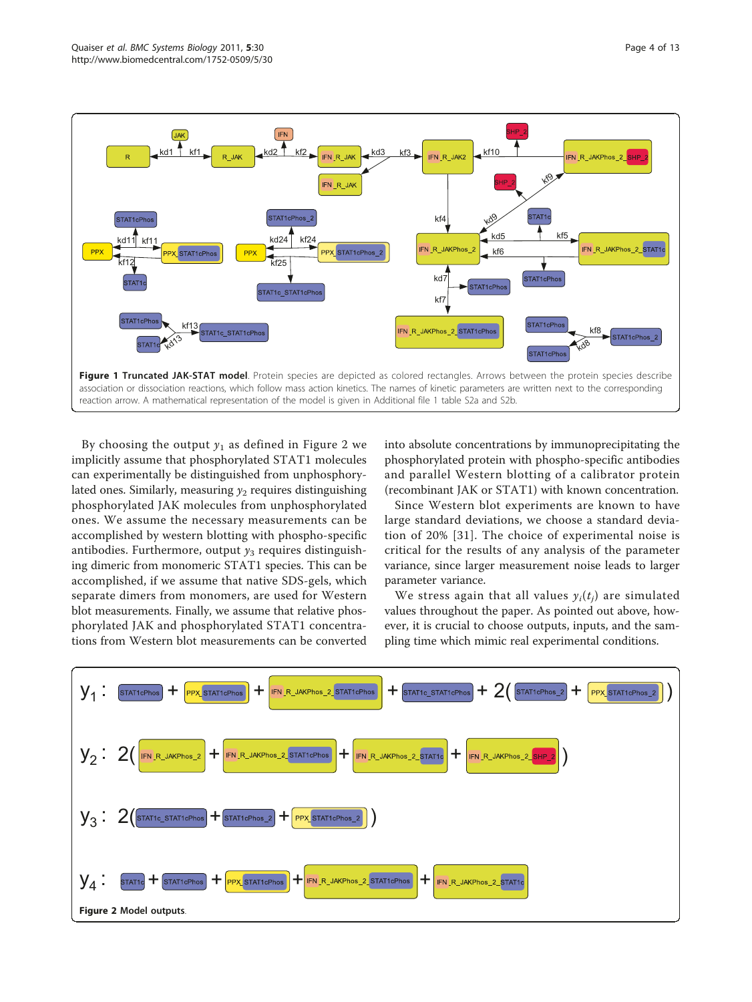<span id="page-3-0"></span>

By choosing the output  $y_1$  as defined in Figure 2 we implicitly assume that phosphorylated STAT1 molecules can experimentally be distinguished from unphosphorylated ones. Similarly, measuring  $y_2$  requires distinguishing phosphorylated JAK molecules from unphosphorylated ones. We assume the necessary measurements can be accomplished by western blotting with phospho-specific antibodies. Furthermore, output  $y_3$  requires distinguishing dimeric from monomeric STAT1 species. This can be accomplished, if we assume that native SDS-gels, which separate dimers from monomers, are used for Western blot measurements. Finally, we assume that relative phosphorylated JAK and phosphorylated STAT1 concentrations from Western blot measurements can be converted into absolute concentrations by immunoprecipitating the phosphorylated protein with phospho-specific antibodies and parallel Western blotting of a calibrator protein (recombinant JAK or STAT1) with known concentration.

Since Western blot experiments are known to have large standard deviations, we choose a standard deviation of 20% [[31](#page-12-0)]. The choice of experimental noise is critical for the results of any analysis of the parameter variance, since larger measurement noise leads to larger parameter variance.

We stress again that all values  $y_i(t_i)$  are simulated values throughout the paper. As pointed out above, however, it is crucial to choose outputs, inputs, and the sampling time which mimic real experimental conditions.

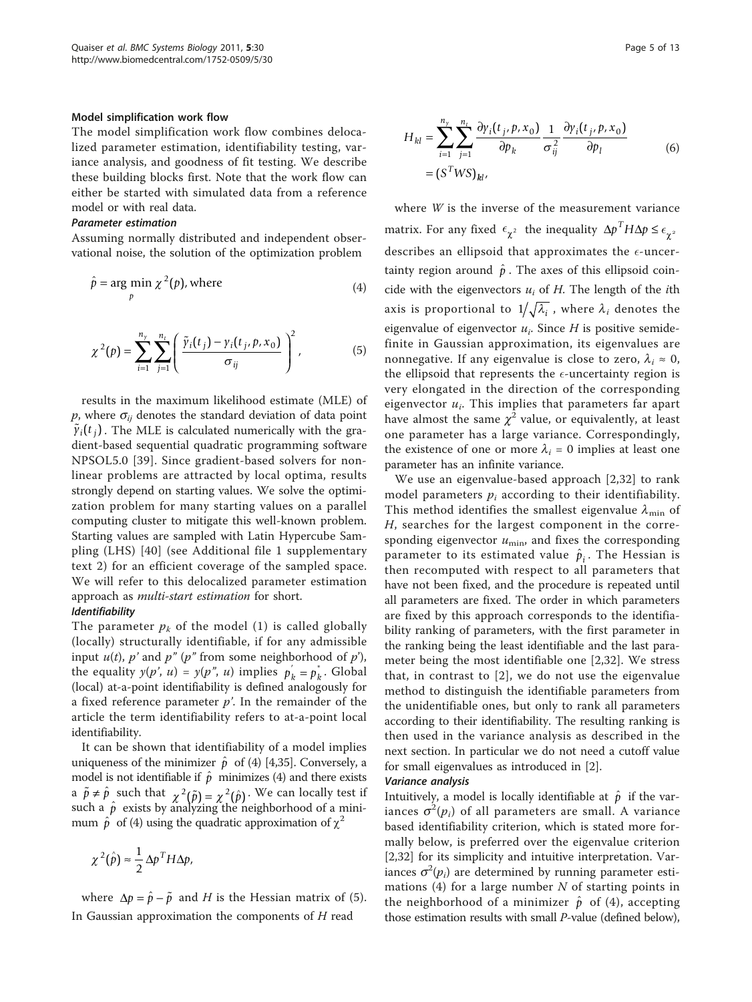#### Model simplification work flow

The model simplification work flow combines delocalized parameter estimation, identifiability testing, variance analysis, and goodness of fit testing. We describe these building blocks first. Note that the work flow can either be started with simulated data from a reference model or with real data.

#### Parameter estimation

Assuming normally distributed and independent observational noise, the solution of the optimization problem

$$
\hat{p} = \underset{p}{\arg\min} \chi^2(p), \text{ where} \tag{4}
$$

$$
\chi^{2}(p) = \sum_{i=1}^{n_{y}} \sum_{j=1}^{n_{t}} \left( \frac{\tilde{\gamma}_{i}(t_{j}) - \gamma_{i}(t_{j}, p, x_{0})}{\sigma_{ij}} \right)^{2}, \qquad (5)
$$

results in the maximum likelihood estimate (MLE) of p, where  $\sigma_{ii}$  denotes the standard deviation of data point  $\tilde{\gamma}_i(t_i)$ . The MLE is calculated numerically with the gradient-based sequential quadratic programming software NPSOL5.0 [[39\]](#page-12-0). Since gradient-based solvers for nonlinear problems are attracted by local optima, results strongly depend on starting values. We solve the optimization problem for many starting values on a parallel computing cluster to mitigate this well-known problem. Starting values are sampled with Latin Hypercube Sampling (LHS) [[40\]](#page-12-0) (see Additional file [1](#page-11-0) supplementary text 2) for an efficient coverage of the sampled space. We will refer to this delocalized parameter estimation approach as multi-start estimation for short.

#### **Identifiability**

The parameter  $p_k$  of the model (1) is called globally (locally) structurally identifiable, if for any admissible input  $u(t)$ , p' and p" (p" from some neighborhood of p'), the equality  $y(p', u) = y(p'', u)$  implies  $p'_k = p_k^*$ . Global (local) at-a-point identifiability is defined analogously for a fixed reference parameter  $p'$ . In the remainder of the article the term identifiability refers to at-a-point local identifiability.

It can be shown that identifiability of a model implies uniqueness of the minimizer  $\hat{p}$  of (4) [\[4,35](#page-12-0)]. Conversely, a model is not identifiable if  $\hat{p}$  minimizes (4) and there exists a  $\tilde{p} \neq \hat{p}$  such that  $\chi^2(\tilde{p}) = \chi^2(\hat{p})$ . We can locally test if such a  $\hat{p}$  exists by analyzing the neighborhood of a minimum  $\hat{p}$  of (4) using the quadratic approximation of  $\chi^2$ 

$$
\chi^2(\hat{p}) \approx \frac{1}{2} \Delta p^T H \Delta p,
$$

where  $\Delta p = \hat{p} - \tilde{p}$  and *H* is the Hessian matrix of (5). In Gaussian approximation the components of  $H$  read

Page 5 of 13

$$
H_{kl} = \sum_{i=1}^{n_y} \sum_{j=1}^{n_t} \frac{\partial y_i(t_j, p, x_0)}{\partial p_k} \frac{1}{\sigma_{ij}^2} \frac{\partial y_i(t_j, p, x_0)}{\partial p_l}
$$
  
=  $(S^T W S)_{kl}$ , (6)

where *W* is the inverse of the measurement variance matrix. For any fixed  $\epsilon_{\gamma^2}$  the inequality  $\Delta p^T H \Delta p \le \epsilon_{\gamma^2}$ describes an ellipsoid that approximates the  $\epsilon$ -uncertainty region around  $\hat{p}$ . The axes of this ellipsoid coincide with the eigenvectors  $u_i$  of H. The length of the *i*th axis is proportional to  $1/\sqrt{\lambda_i}$ , where  $\lambda_i$  denotes the eigenvalue of eigenvector  $u_i$ . Since H is positive semidefinite in Gaussian approximation, its eigenvalues are nonnegative. If any eigenvalue is close to zero,  $\lambda_i \approx 0$ , the ellipsoid that represents the  $\epsilon$ -uncertainty region is very elongated in the direction of the corresponding eigenvector  $u_i$ . This implies that parameters far apart have almost the same  $\chi^2$  value, or equivalently, at least one parameter has a large variance. Correspondingly, the existence of one or more  $\lambda_i = 0$  implies at least one parameter has an infinite variance.

We use an eigenvalue-based approach [\[2](#page-12-0),[32\]](#page-12-0) to rank model parameters  $p_i$  according to their identifiability. This method identifies the smallest eigenvalue  $\lambda_{\min}$  of H, searches for the largest component in the corresponding eigenvector  $u_{\min}$ , and fixes the corresponding parameter to its estimated value  $\hat{p}_i$ . The Hessian is then recomputed with respect to all parameters that have not been fixed, and the procedure is repeated until all parameters are fixed. The order in which parameters are fixed by this approach corresponds to the identifiability ranking of parameters, with the first parameter in the ranking being the least identifiable and the last parameter being the most identifiable one [\[2](#page-12-0),[32\]](#page-12-0). We stress that, in contrast to [[2](#page-12-0)], we do not use the eigenvalue method to distinguish the identifiable parameters from the unidentifiable ones, but only to rank all parameters according to their identifiability. The resulting ranking is then used in the variance analysis as described in the next section. In particular we do not need a cutoff value for small eigenvalues as introduced in [[2\]](#page-12-0).

### Variance analysis

Intuitively, a model is locally identifiable at  $\hat{p}$  if the variances  $\sigma^2(p_i)$  of all parameters are small. A variance<br>based identifiability criterion, which is stated more forbased identifiability criterion, which is stated more formally below, is preferred over the eigenvalue criterion [[2,32\]](#page-12-0) for its simplicity and intuitive interpretation. Variances  $\sigma^2(p_i)$  are determined by running parameter esti-<br>mations (4) for a large number N of starting points in mations (4) for a large number  $N$  of starting points in the neighborhood of a minimizer  $\hat{p}$  of (4), accepting those estimation results with small P-value (defined below),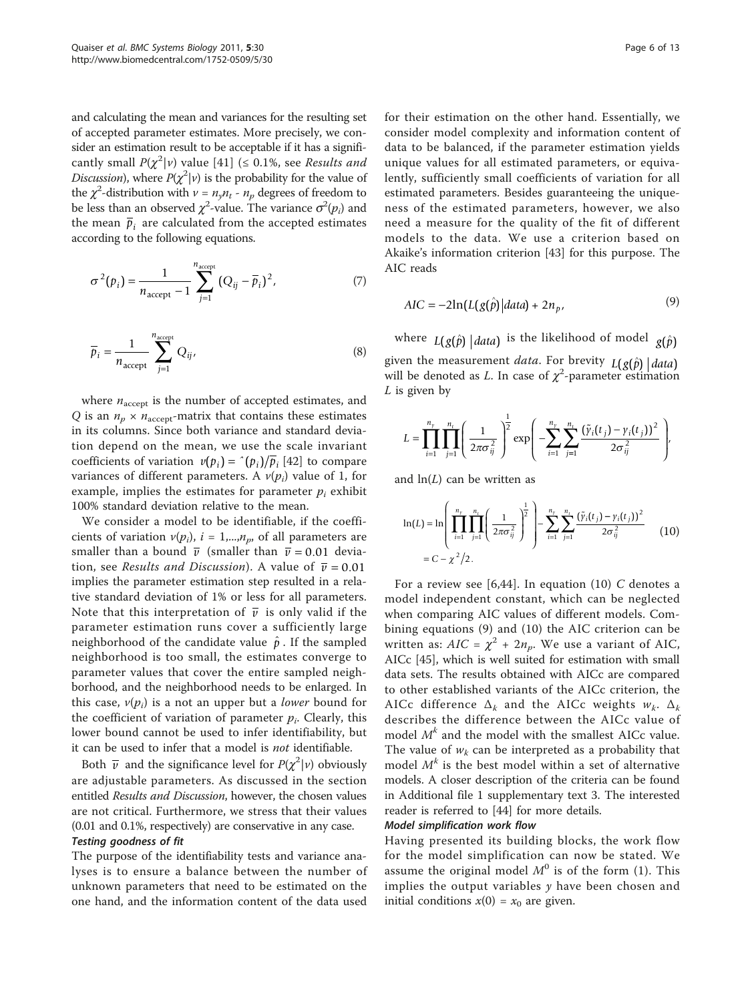and calculating the mean and variances for the resulting set of accepted parameter estimates. More precisely, we consider an estimation result to be acceptable if it has a significantly small  $P(\chi^2|v)$  value [[41](#page-12-0)] ( $\leq$  0.1%, see *Results and*<br>Discussion) where  $P(\chi^2|v)$  is the probability for the value of Discussion), where  $P(\chi^2 |v)$  is the probability for the value of the  $\chi^2$ -distribution with  $y - y - y = 0$  degrees of treedom to the  $\chi^2$ -distribution with  $v = n_y n_t - n_p$  degrees of freedom to be less than an observed  $\chi^2$ -value. The variance  $\sigma^2(n)$  and be less than an observed  $\chi^2$ -value. The variance  $\sigma^2(p_i)$  and the mean  $\bar{p}_i$  are calculated from the accepted estimates the mean  $\bar{p}_i$  are calculated from the accepted estimates according to the following equations.

$$
\sigma^{2}(p_{i}) = \frac{1}{n_{\text{accept}}} \sum_{j=1}^{n_{\text{accept}}} (Q_{ij} - \overline{p}_{i})^{2}, \tag{7}
$$

$$
\overline{p}_i = \frac{1}{n_{\text{accept}}} \sum_{j=1}^{n_{\text{accept}}} Q_{ij},
$$
\n(8)

where  $n_{\text{accept}}$  is the number of accepted estimates, and Q is an  $n_p \times n_{\text{accept}}$ -matrix that contains these estimates in its columns. Since both variance and standard deviation depend on the mean, we use the scale invariant coefficients of variation  $v(p_i) = \hat{(p_i)}/\overline{p_i}$  [\[42\]](#page-12-0) to compare variances of different parameters. A  $v(p_i)$  value of 1, for example, implies the estimates for parameter  $p_i$  exhibit 100% standard deviation relative to the mean.

We consider a model to be identifiable, if the coefficients of variation  $v(p_i)$ ,  $i = 1,...,n_p$ , of all parameters are smaller than a bound  $\overline{\nu}$  (smaller than  $\overline{\nu} = 0.01$  deviation, see *Results and Discussion*). A value of  $\overline{v} = 0.01$ implies the parameter estimation step resulted in a relative standard deviation of 1% or less for all parameters. Note that this interpretation of  $\bar{\nu}$  is only valid if the parameter estimation runs cover a sufficiently large neighborhood of the candidate value  $\hat{p}$ . If the sampled neighborhood is too small, the estimates converge to parameter values that cover the entire sampled neighborhood, and the neighborhood needs to be enlarged. In this case,  $v(p_i)$  is a not an upper but a *lower* bound for the coefficient of variation of parameter  $p_i$ . Clearly, this lower bound cannot be used to infer identifiability, but it can be used to infer that a model is not identifiable.

Both  $\bar{\nu}$  and the significance level for  $P(\chi^2|\nu)$  obviously are adjustable parameters. As discussed in the section entitled Results and Discussion, however, the chosen values are not critical. Furthermore, we stress that their values (0.01 and 0.1%, respectively) are conservative in any case.

#### Testing goodness of fit

The purpose of the identifiability tests and variance analyses is to ensure a balance between the number of unknown parameters that need to be estimated on the one hand, and the information content of the data used for their estimation on the other hand. Essentially, we consider model complexity and information content of data to be balanced, if the parameter estimation yields unique values for all estimated parameters, or equivalently, sufficiently small coefficients of variation for all estimated parameters. Besides guaranteeing the uniqueness of the estimated parameters, however, we also need a measure for the quality of the fit of different models to the data. We use a criterion based on Akaike's information criterion [[43\]](#page-12-0) for this purpose. The AIC reads

$$
AIC = -2\ln(L(g(\hat{p})|data) + 2n_p, \tag{9}
$$

where  $L(g(\hat{p}) | data)$  is the likelihood of model  $g(\hat{p})$ given the measurement *data*. For brevity  $L(g(\hat{p}) | data)$ will be denoted as L. In case of  $\chi^2$ -parameter estimation L is given by  $L$  is given by

$$
L = \prod_{i=1}^{n_{\gamma}} \prod_{j=1}^{n_{t}} \left( \frac{1}{2\pi\sigma_{ij}^{2}} \right)^{\frac{1}{2}} \exp\left( -\sum_{i=1}^{n_{\gamma}} \sum_{j=1}^{n_{t}} \frac{(\tilde{y}_{i}(t_{j}) - y_{i}(t_{j}))^{2}}{2\sigma_{ij}^{2}} \right),
$$

and  $ln(L)$  can be written as

$$
\ln(L) = \ln\left(\prod_{i=1}^{n_{y}} \prod_{j=1}^{n_{t}} \left(\frac{1}{2\pi\sigma_{ij}^{2}}\right)^{\frac{1}{2}}\right) - \sum_{i=1}^{n_{y}} \sum_{j=1}^{n_{t}} \frac{(\tilde{\gamma}_{i}(t_{j}) - \gamma_{i}(t_{j}))^{2}}{2\sigma_{ij}^{2}} \qquad (10)
$$

$$
= C - \chi^{2}/2.
$$

For a review see [[6,44](#page-12-0)]. In equation (10) C denotes a model independent constant, which can be neglected when comparing AIC values of different models. Combining equations (9) and (10) the AIC criterion can be written as:  $AIC = \chi^2 + 2n_p$ . We use a variant of AIC, AICc [\[45](#page-12-0)], which is well suited for estimation with small data sets. The results obtained with AICc are compared to other established variants of the AICc criterion, the AICc difference  $\Delta_k$  and the AICc weights  $w_k$ .  $\Delta_k$ describes the difference between the AICc value of model  $M<sup>k</sup>$  and the model with the smallest AICc value. The value of  $w_k$  can be interpreted as a probability that model  $M^k$  is the best model within a set of alternative models. A closer description of the criteria can be found in Additional file [1](#page-11-0) supplementary text 3. The interested reader is referred to [\[44\]](#page-12-0) for more details.

### Model simplification work flow

Having presented its building blocks, the work flow for the model simplification can now be stated. We assume the original model  $M^0$  is of the form (1). This implies the output variables  $y$  have been chosen and initial conditions  $x(0) = x_0$  are given.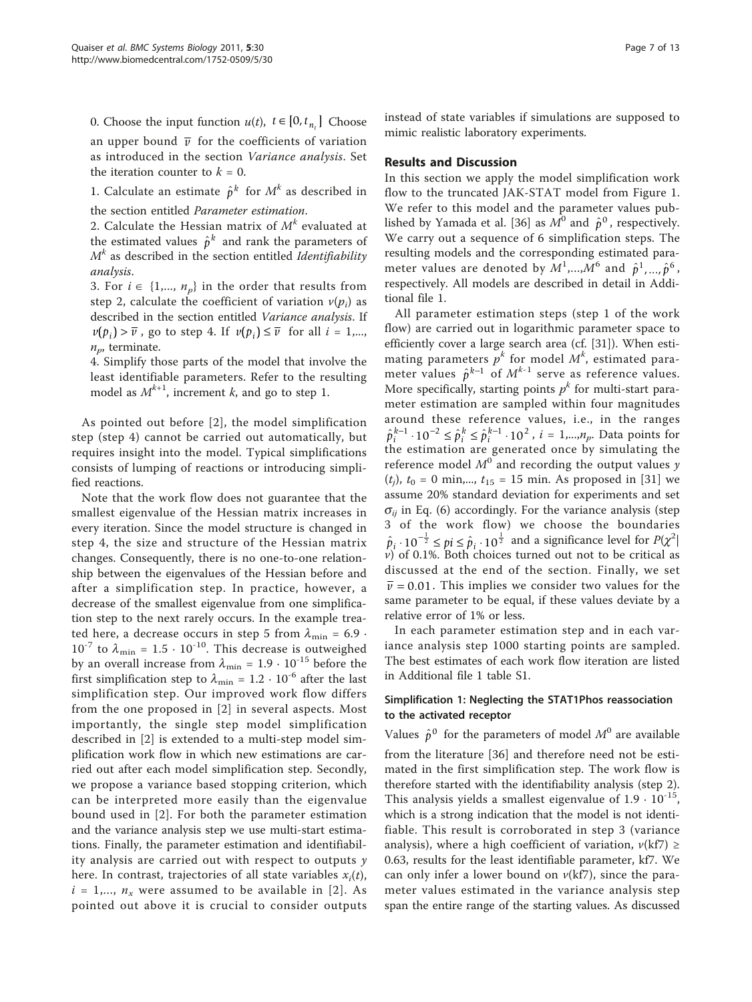0. Choose the input function  $u(t)$ ,  $t \in [0, t_n]$  Choose an upper bound  $\overline{\nu}$  for the coefficients of variation as introduced in the section Variance analysis. Set the iteration counter to  $k = 0$ .

1. Calculate an estimate  $\hat{p}^k$  for  $M^k$  as described in the section entitled Parameter estimation.

2. Calculate the Hessian matrix of  $M^k$  evaluated at the estimated values  $\hat{p}^k$  and rank the parameters of  $M<sup>k</sup>$  as described in the section entitled Identifiability analysis.

3. For  $i \in \{1,..., n_n\}$  in the order that results from step 2, calculate the coefficient of variation  $v(p_i)$  as described in the section entitled Variance analysis. If  $v(p_i) > \overline{v}$ , go to step 4. If  $v(p_i) \leq \overline{v}$  for all  $i = 1,...,$  $n_p$ , terminate.

4. Simplify those parts of the model that involve the least identifiable parameters. Refer to the resulting model as  $M^{k+1}$ , increment k, and go to step 1.

As pointed out before [[2](#page-12-0)], the model simplification step (step 4) cannot be carried out automatically, but requires insight into the model. Typical simplifications consists of lumping of reactions or introducing simplified reactions.

Note that the work flow does not guarantee that the smallest eigenvalue of the Hessian matrix increases in every iteration. Since the model structure is changed in step 4, the size and structure of the Hessian matrix changes. Consequently, there is no one-to-one relationship between the eigenvalues of the Hessian before and after a simplification step. In practice, however, a decrease of the smallest eigenvalue from one simplification step to the next rarely occurs. In the example treated here, a decrease occurs in step 5 from  $\lambda_{\min} = 6.9 \cdot 10^{-7}$  to  $\lambda_{\min} = 1.5 \cdot 10^{-10}$  This decrease is outweighed  $10^{-7}$  to  $\lambda_{\text{min}} = 1.5 \cdot 10^{-10}$ . This decrease is outweighed<br>by an overall increase from  $\lambda_{\text{min}} = 1.9 \cdot 10^{-15}$  before the by an overall increase from  $\lambda_{\text{min}} = 1.9 \cdot 10^{-15}$  before the first simplification step to  $\lambda_{\text{min}} = 1.2 \cdot 10^{-6}$  after the last simplification step. Our improved work flow differs from the one proposed in [\[2\]](#page-12-0) in several aspects. Most importantly, the single step model simplification described in [\[2](#page-12-0)] is extended to a multi-step model simplification work flow in which new estimations are carried out after each model simplification step. Secondly, we propose a variance based stopping criterion, which can be interpreted more easily than the eigenvalue bound used in [[2](#page-12-0)]. For both the parameter estimation and the variance analysis step we use multi-start estimations. Finally, the parameter estimation and identifiability analysis are carried out with respect to outputs  $y$ here. In contrast, trajectories of all state variables  $x_i(t)$ ,  $i = 1,..., n_x$  were assumed to be available in [[2](#page-12-0)]. As pointed out above it is crucial to consider outputs instead of state variables if simulations are supposed to mimic realistic laboratory experiments.

#### Results and Discussion

In this section we apply the model simplification work flow to the truncated JAK-STAT model from Figure [1](#page-3-0). We refer to this model and the parameter values pub-lished by Yamada et al. [[36\]](#page-12-0) as  $M^0$  and  $\hat{p}^0$ , respectively. We carry out a sequence of 6 simplification steps. The resulting models and the corresponding estimated parameter values are denoted by  $M^1,...,M^6$  and  $\hat{p}^1,...,\hat{p}^6$ , respectively. All models are described in detail in Additional file [1](#page-11-0).

All parameter estimation steps (step 1 of the work flow) are carried out in logarithmic parameter space to efficiently cover a large search area (cf. [\[31](#page-12-0)]). When estimating parameters  $p^k$  for model  $M^k$ , estimated parameter values  $\hat{p}^{k-1}$  of  $M^{k-1}$  serve as reference values. More specifically, starting points  $p^k$  for multi-start parameter estimation are sampled within four magnitudes around these reference values, i.e., in the ranges  $\hat{p}_i^{k-1} \cdot 10^{-2} \le \hat{p}_i^k \le \hat{p}_i^{k-1} \cdot 10^2$ ,  $i = 1,...,n_p$ . Data points for the estimation are generated once by simulating the reference model  $M^0$  and recording the output values y  $(t_i)$ ,  $t_0 = 0$  min,...,  $t_{15} = 15$  min. As proposed in [[31\]](#page-12-0) we assume 20% standard deviation for experiments and set  $\sigma_{ii}$  in Eq. (6) accordingly. For the variance analysis (step 3 of the work flow) we choose the boundaries  $\hat{p}_i \cdot 10^{-\frac{1}{2}} \le \hat{p}_i \le \hat{p}_i \cdot 10^{\frac{1}{2}}$  and a significance level for  $P(\chi^2)$ <br>w) of 0.1%. Both choices turned out not to be critical as  $\nu$ ) of 0.1%. Both choices turned out not to be critical as discussed at the end of the section. Finally, we set  $\bar{v}$  = 0.01. This implies we consider two values for the same parameter to be equal, if these values deviate by a relative error of 1% or less.

In each parameter estimation step and in each variance analysis step 1000 starting points are sampled. The best estimates of each work flow iteration are listed in Additional file [1](#page-11-0) table S1.

## Simplification 1: Neglecting the STAT1Phos reassociation to the activated receptor

Values  $\hat{p}^0$  for the parameters of model  $M^0$  are available from the literature [[36](#page-12-0)] and therefore need not be estimated in the first simplification step. The work flow is therefore started with the identifiability analysis (step 2). This analysis yields a smallest eigenvalue of  $1.9 \cdot 10^{-15}$ , which is a strong indication that the model is not identifiable. This result is corroborated in step 3 (variance analysis), where a high coefficient of variation,  $v(kf7) \ge$ 0.63, results for the least identifiable parameter, kf7. We can only infer a lower bound on  $\nu(kf7)$ , since the parameter values estimated in the variance analysis step span the entire range of the starting values. As discussed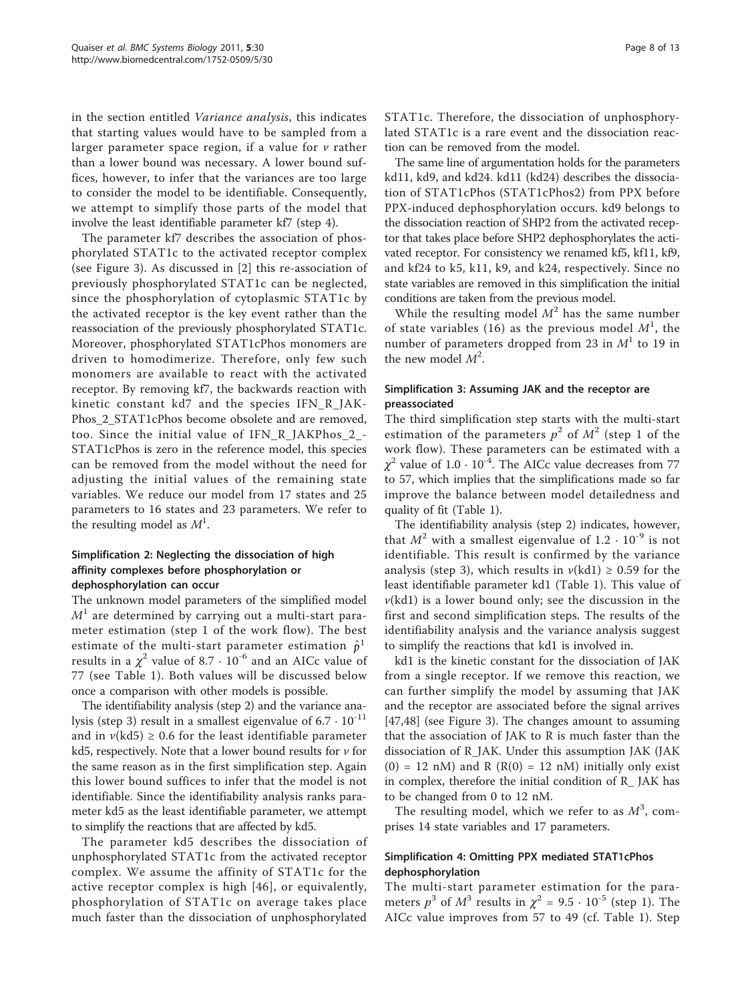in the section entitled Variance analysis, this indicates that starting values would have to be sampled from a larger parameter space region, if a value for  $\nu$  rather than a lower bound was necessary. A lower bound suffices, however, to infer that the variances are too large to consider the model to be identifiable. Consequently, we attempt to simplify those parts of the model that involve the least identifiable parameter kf7 (step 4).

The parameter kf7 describes the association of phosphorylated STAT1c to the activated receptor complex (see Figure [3\)](#page-8-0). As discussed in [\[2](#page-12-0)] this re-association of previously phosphorylated STAT1c can be neglected, since the phosphorylation of cytoplasmic STAT1c by the activated receptor is the key event rather than the reassociation of the previously phosphorylated STAT1c. Moreover, phosphorylated STAT1cPhos monomers are driven to homodimerize. Therefore, only few such monomers are available to react with the activated receptor. By removing kf7, the backwards reaction with kinetic constant kd7 and the species IFN\_R\_JAK-Phos\_2\_STAT1cPhos become obsolete and are removed, too. Since the initial value of IFN\_R\_JAKPhos\_2\_- STAT1cPhos is zero in the reference model, this species can be removed from the model without the need for adjusting the initial values of the remaining state variables. We reduce our model from 17 states and 25 parameters to 16 states and 23 parameters. We refer to the resulting model as  $M^1$ .

## Simplification 2: Neglecting the dissociation of high affinity complexes before phosphorylation or dephosphorylation can occur

The unknown model parameters of the simplified model  $M<sup>1</sup>$  are determined by carrying out a multi-start parameter estimation (step 1 of the work flow). The best estimate of the multi-start parameter estimation  $\hat{p}^1$ results in a  $\chi^2$  value of 8.7  $\cdot$  10<sup>-6</sup> and an AICc value of 77 (see Table [1](#page-8-0)). Both values will be discussed below once a comparison with other models is possible.

The identifiability analysis (step 2) and the variance analysis (step 3) result in a smallest eigenvalue of  $6.7 \cdot 10^{-11}$ and in  $v(kd5) \ge 0.6$  for the least identifiable parameter kd5, respectively. Note that a lower bound results for  $\nu$  for the same reason as in the first simplification step. Again this lower bound suffices to infer that the model is not identifiable. Since the identifiability analysis ranks parameter kd5 as the least identifiable parameter, we attempt to simplify the reactions that are affected by kd5.

The parameter kd5 describes the dissociation of unphosphorylated STAT1c from the activated receptor complex. We assume the affinity of STAT1c for the active receptor complex is high [[46](#page-12-0)], or equivalently, phosphorylation of STAT1c on average takes place much faster than the dissociation of unphosphorylated STAT1c. Therefore, the dissociation of unphosphorylated STAT1c is a rare event and the dissociation reaction can be removed from the model.

The same line of argumentation holds for the parameters kd11, kd9, and kd24. kd11 (kd24) describes the dissociation of STAT1cPhos (STAT1cPhos2) from PPX before PPX-induced dephosphorylation occurs. kd9 belongs to the dissociation reaction of SHP2 from the activated receptor that takes place before SHP2 dephosphorylates the activated receptor. For consistency we renamed kf5, kf11, kf9, and kf24 to k5, k11, k9, and k24, respectively. Since no state variables are removed in this simplification the initial conditions are taken from the previous model.

While the resulting model  $M^2$  has the same number of state variables (16) as the previous model  $M<sup>1</sup>$ , the number of parameters dropped from 23 in  $M<sup>1</sup>$  to 19 in the new model  $M^2$ .

## Simplification 3: Assuming JAK and the receptor are preassociated

The third simplification step starts with the multi-start estimation of the parameters  $p^2$  of  $M^2$  (step 1 of the work flow). These parameters can be estimated with a  $\chi^2$  value of 1.0  $\cdot$  10<sup>-4</sup>. The AICc value decreases from 77 to 57, which implies that the simplifications made so far improve the balance between model detailedness and quality of fit (Table [1\)](#page-8-0).

The identifiability analysis (step 2) indicates, however, that  $M^2$  with a smallest eigenvalue of  $1.2 \cdot 10^{-9}$  is not identifiable. This result is confirmed by the variance analysis (step 3), which results in  $\nu(kd1) \geq 0.59$  for the least identifiable parameter kd1 (Table [1\)](#page-8-0). This value of  $\nu(kd1)$  is a lower bound only; see the discussion in the first and second simplification steps. The results of the identifiability analysis and the variance analysis suggest to simplify the reactions that kd1 is involved in.

kd1 is the kinetic constant for the dissociation of JAK from a single receptor. If we remove this reaction, we can further simplify the model by assuming that JAK and the receptor are associated before the signal arrives [[47,48\]](#page-12-0) (see Figure [3\)](#page-8-0). The changes amount to assuming that the association of JAK to R is much faster than the dissociation of R\_JAK. Under this assumption JAK (JAK  $(0) = 12$  nM) and R (R(0) = 12 nM) initially only exist in complex, therefore the initial condition of R\_ JAK has to be changed from 0 to 12 nM.

The resulting model, which we refer to as  $M^3$ , comprises 14 state variables and 17 parameters.

## Simplification 4: Omitting PPX mediated STAT1cPhos dephosphorylation

The multi-start parameter estimation for the parameters  $p^3$  of  $M^3$  results in  $\chi^2 = 9.5 \cdot 10^{-5}$  (step 1). The AICc value improves from 57 to 49 (cf. Table [1](#page-8-0)). Step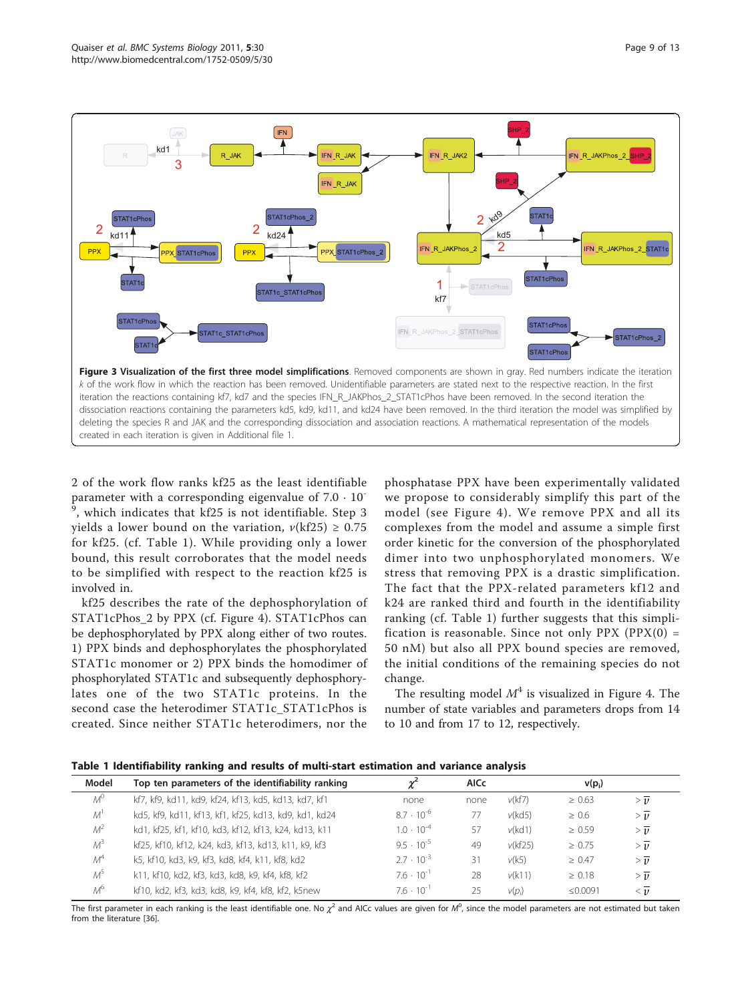<span id="page-8-0"></span>

2 of the work flow ranks kf25 as the least identifiable parameter with a corresponding eigenvalue of  $7.0 \cdot 10^{-1}$  $\overline{9}$ , which indicates that kf25 is not identifiable. Step 3 yields a lower bound on the variation,  $v(kf25) \geq 0.75$ for kf25. (cf. Table 1). While providing only a lower bound, this result corroborates that the model needs to be simplified with respect to the reaction kf25 is involved in.

kf25 describes the rate of the dephosphorylation of STAT1cPhos\_2 by PPX (cf. Figure [4](#page-9-0)). STAT1cPhos can be dephosphorylated by PPX along either of two routes. 1) PPX binds and dephosphorylates the phosphorylated STAT1c monomer or 2) PPX binds the homodimer of phosphorylated STAT1c and subsequently dephosphorylates one of the two STAT1c proteins. In the second case the heterodimer STAT1c\_STAT1cPhos is created. Since neither STAT1c heterodimers, nor the

phosphatase PPX have been experimentally validated we propose to considerably simplify this part of the model (see Figure [4](#page-9-0)). We remove PPX and all its complexes from the model and assume a simple first order kinetic for the conversion of the phosphorylated dimer into two unphosphorylated monomers. We stress that removing PPX is a drastic simplification. The fact that the PPX-related parameters kf12 and k24 are ranked third and fourth in the identifiability ranking (cf. Table 1) further suggests that this simplification is reasonable. Since not only PPX (PPX $(0)$  = 50 nM) but also all PPX bound species are removed, the initial conditions of the remaining species do not change.

The resulting model  $M<sup>4</sup>$  is visualized in Figure [4.](#page-9-0) The number of state variables and parameters drops from 14 to 10 and from 17 to 12, respectively.

|  |  | Table 1 Identifiability ranking and results of multi-start estimation and variance analysis |  |  |  |  |  |  |
|--|--|---------------------------------------------------------------------------------------------|--|--|--|--|--|--|
|--|--|---------------------------------------------------------------------------------------------|--|--|--|--|--|--|

| Model          | Top ten parameters of the identifiability ranking     |                     | <b>AICc</b> |          | $v(p_i)$    |                          |
|----------------|-------------------------------------------------------|---------------------|-------------|----------|-------------|--------------------------|
| $M^0$          | kf7, kf9, kd11, kd9, kf24, kf13, kd5, kd13, kd7, kf1  | none                | none        | v(kf7)   | $\geq 0.63$ | $\geq v$                 |
| M <sup>1</sup> | kd5, kf9, kd11, kf13, kf1, kf25, kd13, kd9, kd1, kd24 | $8.7 \cdot 10^{-6}$ | 77          | v(kd5)   | $\geq 0.6$  | $\frac{\overline{v}}{v}$ |
| $M^2$          | kd1, kf25, kf1, kf10, kd3, kf12, kf13, k24, kd13, k11 | $1.0 \cdot 10^{-4}$ | 57          | v(kd1)   | $\geq 0.59$ | $\frac{\overline{v}}{v}$ |
| $M^3$          | kf25, kf10, kf12, k24, kd3, kf13, kd13, k11, k9, kf3  | $95 \cdot 10^{-5}$  | 49          | v(kf25)  | > 0.75      | $\overline{\nu}$         |
| M <sup>4</sup> | k5, kf10, kd3, k9, kf3, kd8, kf4, k11, kf8, kd2       | $27 \cdot 10^{-3}$  | 31          | v(k5)    | $\geq 0.47$ | $\overline{\nu}$         |
| $M^5$          | k11, kf10, kd2, kf3, kd3, kd8, k9, kf4, kf8, kf2      | $76 \cdot 10^{-1}$  | 28          | v(k11)   | $\geq 0.18$ | $\overline{\nu}$         |
| $M^6$          | kf10, kd2, kf3, kd3, kd8, k9, kf4, kf8, kf2, k5new    | $7.6 \cdot 10^{-1}$ | 25          | $V(D_i)$ | < 0.0091    | $\langle \bar{v}$        |

The first parameter in each ranking is the least identifiable one. No  $\chi^2$  and AICc values are given for  $M^0$ , since the model parameters are not estimated but taken<br>from the literature [36] from the literature [[36\]](#page-12-0).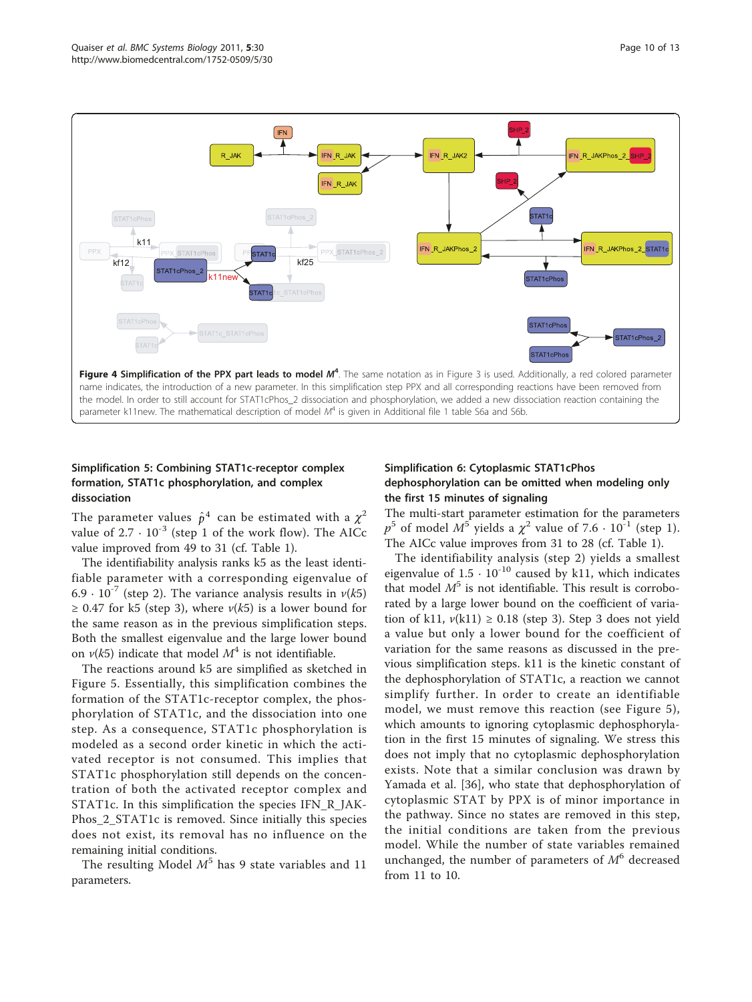<span id="page-9-0"></span>

## Simplification 5: Combining STAT1c-receptor complex formation, STAT1c phosphorylation, and complex dissociation

The parameter values  $\hat{p}^4$  can be estimated with a  $\chi^2$ value of  $2.7 \cdot 10^{-3}$  (step 1 of the work flow). The AICc value improved from 49 to 31 (cf. Table [1](#page-8-0)).

The identifiability analysis ranks k5 as the least identifiable parameter with a corresponding eigenvalue of 6.9  $\cdot$  10<sup>-7</sup> (step 2). The variance analysis results in  $v(k5)$  $\geq$  0.47 for k5 (step 3), where  $v(k5)$  is a lower bound for the same reason as in the previous simplification steps. Both the smallest eigenvalue and the large lower bound on  $v(k5)$  indicate that model  $M<sup>4</sup>$  is not identifiable.

The reactions around k5 are simplified as sketched in Figure [5.](#page-10-0) Essentially, this simplification combines the formation of the STAT1c-receptor complex, the phosphorylation of STAT1c, and the dissociation into one step. As a consequence, STAT1c phosphorylation is modeled as a second order kinetic in which the activated receptor is not consumed. This implies that STAT1c phosphorylation still depends on the concentration of both the activated receptor complex and STAT1c. In this simplification the species IFN\_R\_JAK-Phos\_2\_STAT1c is removed. Since initially this species does not exist, its removal has no influence on the remaining initial conditions.

The resulting Model  $M<sup>5</sup>$  has 9 state variables and 11 parameters.

## Simplification 6: Cytoplasmic STAT1cPhos dephosphorylation can be omitted when modeling only the first 15 minutes of signaling

The multi-start parameter estimation for the parameters  $p^5$  of model  $M^5$  yields a  $\chi^2$  value of 7.6  $\cdot$  10<sup>-1</sup> (step 1). The AICc value improves from 31 to 28 (cf. Table [1\)](#page-8-0).

The identifiability analysis (step 2) yields a smallest eigenvalue of  $1.5 \cdot 10^{-10}$  caused by k11, which indicates that model  $M^5$  is not identifiable. This result is corroborated by a large lower bound on the coefficient of variation of k11,  $v(k11) \ge 0.18$  (step 3). Step 3 does not yield a value but only a lower bound for the coefficient of variation for the same reasons as discussed in the previous simplification steps. k11 is the kinetic constant of the dephosphorylation of STAT1c, a reaction we cannot simplify further. In order to create an identifiable model, we must remove this reaction (see Figure [5\)](#page-10-0), which amounts to ignoring cytoplasmic dephosphorylation in the first 15 minutes of signaling. We stress this does not imply that no cytoplasmic dephosphorylation exists. Note that a similar conclusion was drawn by Yamada et al. [\[36](#page-12-0)], who state that dephosphorylation of cytoplasmic STAT by PPX is of minor importance in the pathway. Since no states are removed in this step, the initial conditions are taken from the previous model. While the number of state variables remained unchanged, the number of parameters of  $M^6$  decreased from 11 to 10.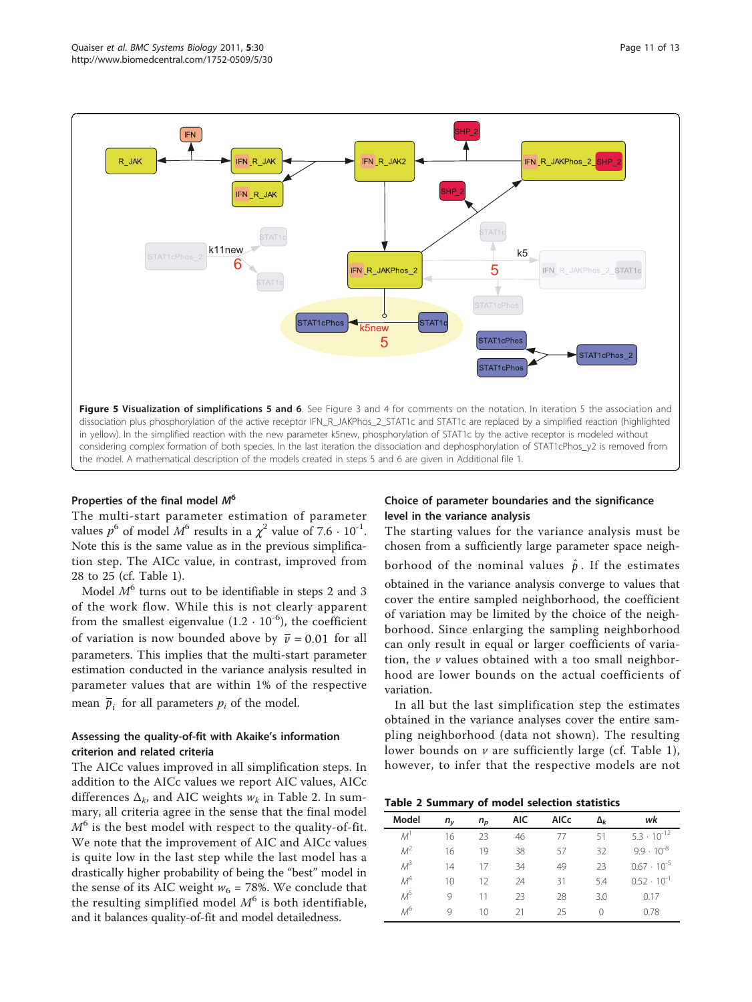<span id="page-10-0"></span>

## Properties of the final model  $M^6$

The multi-start parameter estimation of parameter values  $p^6$  of model  $M^6$  results in a  $\chi^2$  value of 7.6  $\cdot$  10<sup>-1</sup>. Note this is the same value as in the previous simplification step. The AICc value, in contrast, improved from 28 to 25 (cf. Table [1\)](#page-8-0).

Model  $M^6$  turns out to be identifiable in steps 2 and 3 of the work flow. While this is not clearly apparent from the smallest eigenvalue  $(1.2 \cdot 10^{-6})$ , the coefficient of variation is now bounded above by  $\bar{v} = 0.01$  for all parameters. This implies that the multi-start parameter estimation conducted in the variance analysis resulted in parameter values that are within 1% of the respective mean  $\bar{p}_i$  for all parameters  $p_i$  of the model.

## Assessing the quality-of-fit with Akaike's information criterion and related criteria

The AICc values improved in all simplification steps. In addition to the AICc values we report AIC values, AICc differences  $\Delta_k$ , and AIC weights  $w_k$  in Table 2. In summary, all criteria agree in the sense that the final model  $M<sup>6</sup>$  is the best model with respect to the quality-of-fit. We note that the improvement of AIC and AICc values is quite low in the last step while the last model has a drastically higher probability of being the "best" model in the sense of its AIC weight  $w_6$  = 78%. We conclude that the resulting simplified model  $M^6$  is both identifiable, and it balances quality-of-fit and model detailedness.

## Choice of parameter boundaries and the significance level in the variance analysis

The starting values for the variance analysis must be chosen from a sufficiently large parameter space neigh-

borhood of the nominal values  $\hat{p}$ . If the estimates obtained in the variance analysis converge to values that cover the entire sampled neighborhood, the coefficient of variation may be limited by the choice of the neighborhood. Since enlarging the sampling neighborhood can only result in equal or larger coefficients of variation, the  $\nu$  values obtained with a too small neighborhood are lower bounds on the actual coefficients of variation.

In all but the last simplification step the estimates obtained in the variance analyses cover the entire sampling neighborhood (data not shown). The resulting lower bounds on  $\nu$  are sufficiently large (cf. Table [1\)](#page-8-0), however, to infer that the respective models are not

|  |  | Table 2 Summary of model selection statistics |  |  |  |  |
|--|--|-----------------------------------------------|--|--|--|--|
|--|--|-----------------------------------------------|--|--|--|--|

| <b>Model</b>   | $n_{\rm v}$ | $n_{p}$ | AIC | <b>AICc</b> | $\Delta_k$ | wk                   |
|----------------|-------------|---------|-----|-------------|------------|----------------------|
| M              | 16          | 23      | 46  | 77          | 51         | $5.3 \cdot 10^{-12}$ |
| M <sup>2</sup> | 16          | 19      | 38  | 57          | 32         | $9.9 \cdot 10^{-8}$  |
| $M^3$          | 14          | 17      | 34  | 49          | 23         | $0.67 \cdot 10^{-5}$ |
| $M^4$          | 10          | 12      | 24  | 31          | 5.4        | $0.52 \cdot 10^{-1}$ |
| $M^5$          | 9           | 11      | 23  | 28          | 3.0        | 0.17                 |
| $M^6$          | 9           | 10      | 21  | 25          | 0          | 0.78                 |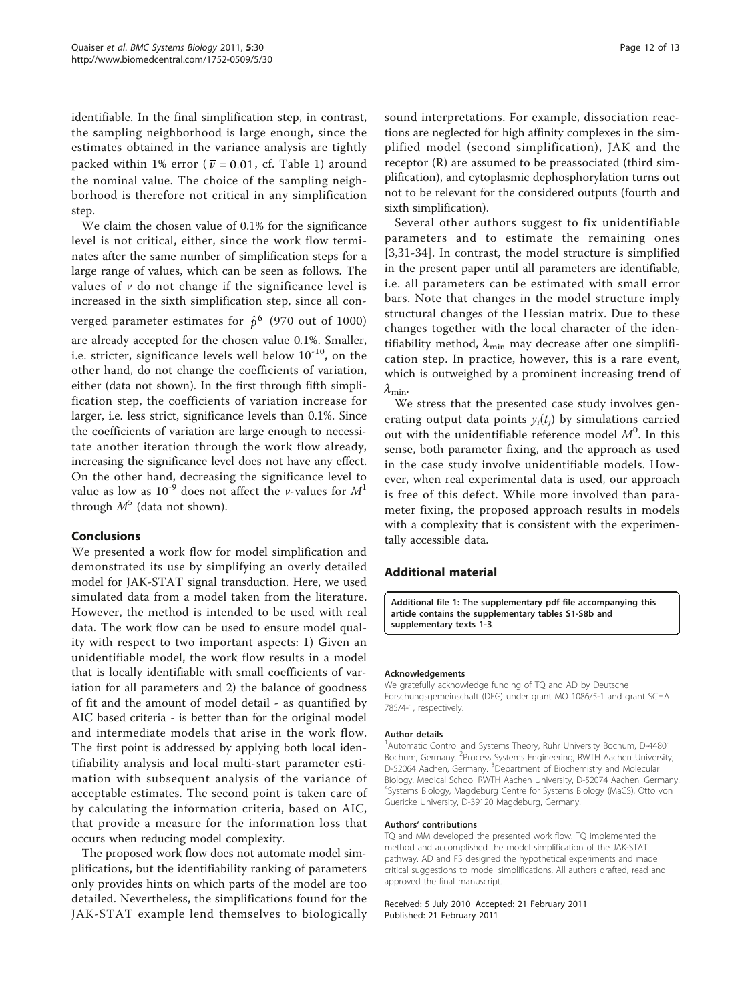<span id="page-11-0"></span>identifiable. In the final simplification step, in contrast, the sampling neighborhood is large enough, since the estimates obtained in the variance analysis are tightly packed within 1% error ( $\bar{v}$  = 0.01, cf. Table [1\)](#page-8-0) around the nominal value. The choice of the sampling neighborhood is therefore not critical in any simplification step.

We claim the chosen value of 0.1% for the significance level is not critical, either, since the work flow terminates after the same number of simplification steps for a large range of values, which can be seen as follows. The values of  $\nu$  do not change if the significance level is increased in the sixth simplification step, since all converged parameter estimates for  $\hat{p}^6$  (970 out of 1000) are already accepted for the chosen value 0.1%. Smaller, i.e. stricter, significance levels well below  $10^{-10}$ , on the other hand, do not change the coefficients of variation, either (data not shown). In the first through fifth simplification step, the coefficients of variation increase for larger, i.e. less strict, significance levels than 0.1%. Since the coefficients of variation are large enough to necessitate another iteration through the work flow already, increasing the significance level does not have any effect. On the other hand, decreasing the significance level to value as low as 10<sup>-9</sup> does not affect the *v*-values for  $M<sup>1</sup>$ through  $M^5$  (data not shown).

#### Conclusions

We presented a work flow for model simplification and demonstrated its use by simplifying an overly detailed model for JAK-STAT signal transduction. Here, we used simulated data from a model taken from the literature. However, the method is intended to be used with real data. The work flow can be used to ensure model quality with respect to two important aspects: 1) Given an unidentifiable model, the work flow results in a model that is locally identifiable with small coefficients of variation for all parameters and 2) the balance of goodness of fit and the amount of model detail - as quantified by AIC based criteria - is better than for the original model and intermediate models that arise in the work flow. The first point is addressed by applying both local identifiability analysis and local multi-start parameter estimation with subsequent analysis of the variance of acceptable estimates. The second point is taken care of by calculating the information criteria, based on AIC, that provide a measure for the information loss that occurs when reducing model complexity.

The proposed work flow does not automate model simplifications, but the identifiability ranking of parameters only provides hints on which parts of the model are too detailed. Nevertheless, the simplifications found for the JAK-STAT example lend themselves to biologically sound interpretations. For example, dissociation reactions are neglected for high affinity complexes in the simplified model (second simplification), JAK and the receptor (R) are assumed to be preassociated (third simplification), and cytoplasmic dephosphorylation turns out not to be relevant for the considered outputs (fourth and sixth simplification).

Several other authors suggest to fix unidentifiable parameters and to estimate the remaining ones [[3,31](#page-12-0)-[34](#page-12-0)]. In contrast, the model structure is simplified in the present paper until all parameters are identifiable, i.e. all parameters can be estimated with small error bars. Note that changes in the model structure imply structural changes of the Hessian matrix. Due to these changes together with the local character of the identifiability method,  $\lambda_{\min}$  may decrease after one simplification step. In practice, however, this is a rare event, which is outweighed by a prominent increasing trend of  $\lambda_{\min}$ .

We stress that the presented case study involves generating output data points  $y_i(t_i)$  by simulations carried out with the unidentifiable reference model  $M^0$ . In this sense, both parameter fixing, and the approach as used in the case study involve unidentifiable models. However, when real experimental data is used, our approach is free of this defect. While more involved than parameter fixing, the proposed approach results in models with a complexity that is consistent with the experimentally accessible data.

#### Additional material

[Additional file 1: T](http://www.biomedcentral.com/content/supplementary/1752-0509-5-30-S1.PDF)he supplementary pdf file accompanying this article contains the supplementary tables S1-S8b and supplementary texts 1-3.

#### Acknowledgements

We gratefully acknowledge funding of TQ and AD by Deutsche Forschungsgemeinschaft (DFG) under grant MO 1086/5-1 and grant SCHA 785/4-1, respectively.

#### Author details

1 Automatic Control and Systems Theory, Ruhr University Bochum, D-44801 Bochum, Germany. <sup>2</sup>Process Systems Engineering, RWTH Aachen University D-52064 Aachen, Germany. <sup>3</sup> Department of Biochemistry and Molecular Biology, Medical School RWTH Aachen University, D-52074 Aachen, Germany. 4 Systems Biology, Magdeburg Centre for Systems Biology (MaCS), Otto von Guericke University, D-39120 Magdeburg, Germany.

#### Authors' contributions

TQ and MM developed the presented work flow. TQ implemented the method and accomplished the model simplification of the JAK-STAT pathway. AD and FS designed the hypothetical experiments and made critical suggestions to model simplifications. All authors drafted, read and approved the final manuscript.

Received: 5 July 2010 Accepted: 21 February 2011 Published: 21 February 2011